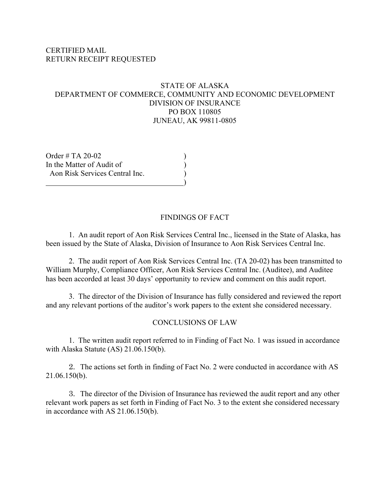### CERTIFIED MAIL RETURN RECEIPT REQUESTED

### STATE OF ALASKA DEPARTMENT OF COMMERCE, COMMUNITY AND ECONOMIC DEVELOPMENT DIVISION OF INSURANCE PO BOX 110805 JUNEAU, AK 99811-0805

Order  $\#$  TA 20-02 In the Matter of Audit of  $($  Aon Risk Services Central Inc. )  $\qquad \qquad \qquad$ 

### FINDINGS OF FACT

1. An audit report of Aon Risk Services Central Inc., licensed in the State of Alaska, has been issued by the State of Alaska, Division of Insurance to Aon Risk Services Central Inc.

2. The audit report of Aon Risk Services Central Inc. (TA 20-02) has been transmitted to William Murphy, Compliance Officer, Aon Risk Services Central Inc. (Auditee), and Auditee has been accorded at least 30 days' opportunity to review and comment on this audit report.

3. The director of the Division of Insurance has fully considered and reviewed the report and any relevant portions of the auditor's work papers to the extent she considered necessary.

#### CONCLUSIONS OF LAW

1. The written audit report referred to in Finding of Fact No. 1 was issued in accordance with Alaska Statute (AS) 21.06.150(b).

2. The actions set forth in finding of Fact No. 2 were conducted in accordance with AS 21.06.150(b).

3. The director of the Division of Insurance has reviewed the audit report and any other relevant work papers as set forth in Finding of Fact No. 3 to the extent she considered necessary in accordance with AS 21.06.150(b).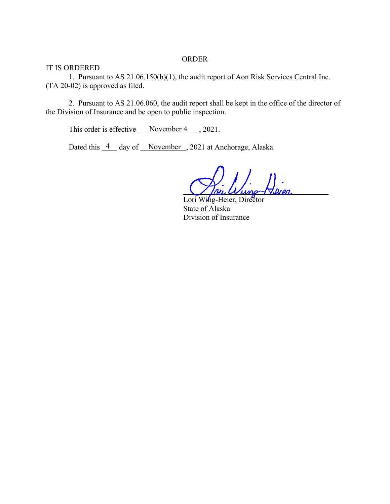#### ORDER

IT IS ORDERED

1. Pursuant to AS 21.06.150(b)(1), the audit report of Aon Risk Services Central Inc. (TA 20-02) is approved as filed.

2. Pursuant to AS 21.06.060, the audit report shall be kept in the office of the director of the Division of Insurance and be open to public inspection.

This order is effective  $\sqrt{\frac{Noverm+1}{2}}$ , 2021.

Dated this  $\frac{4}{ }$  day of November, 2021 at Anchorage, Alaska.

 $\bigvee$  / *Bu*  $W$ uno  $\neg$   $\neg$  Dien

Lori Wing-Heier, Director State of Alaska Division of Insurance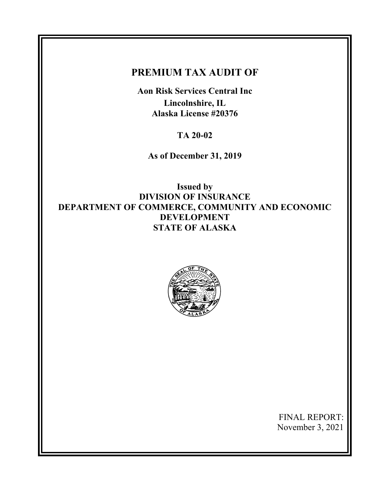# **PREMIUM TAX AUDIT OF**

**Aon Risk Services Central Inc Lincolnshire, IL Alaska License #20376** 

**TA 20-02** 

**As of December 31, 2019** 

**Issued by DIVISION OF INSURANCE DEPARTMENT OF COMMERCE, COMMUNITY AND ECONOMIC DEVELOPMENT STATE OF ALASKA** 



FINAL REPORT: November 3, 2021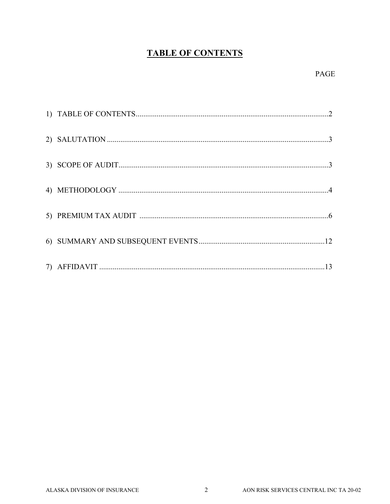# **TABLE OF CONTENTS**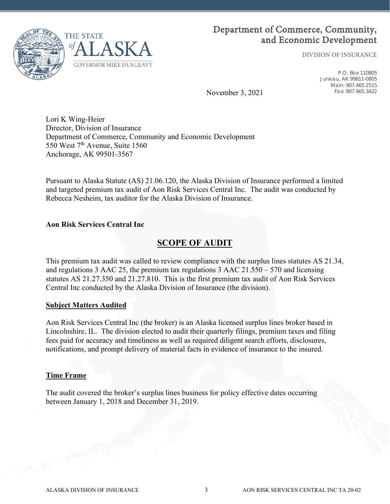

# Department of Commerce, Community, and Economic Development

DIVISION OF INSURANCE

P.O. Box 110805 Juneau, AK 99811-0805 Main: 907.465.2515 Fax: 907.465.3422

November 3, 2021

Lori K Wing-Heier Director, Division of Insurance Department of Commerce, Community and Economic Development 550 West 7<sup>th</sup> Avenue, Suite 1560 Anchorage, AK 99501-3567

Pursuant to Alaska Statute (AS) 21.06.120, the Alaska Division of Insurance performed a limited and targeted premium tax audit of Aon Risk Services Central Inc. The audit was conducted by Rebecca Nesheim, tax auditor for the Alaska Division of Insurance.

### **Aon Risk Services Central Inc**

# **SCOPE OF AUDIT**

This premium tax audit was called to review compliance with the surplus lines statutes AS 21.34, and regulations 3 AAC 25, the premium tax regulations 3 AAC 21.550 – 570 and licensing statutes AS 21.27.350 and 21.27.810. This is the first premium tax audit of Aon Risk Services Central Inc conducted by the Alaska Division of Insurance (the division).

### **Subject Matters Audited**

Aon Risk Services Central Inc (the broker) is an Alaska licensed surplus lines broker based in Lincolnshire, IL. The division elected to audit their quarterly filings, premium taxes and filing fees paid for accuracy and timeliness as well as required diligent search efforts, disclosures, notifications, and prompt delivery of material facts in evidence of insurance to the insured.

#### **Time Frame**

The audit covered the broker's surplus lines business for policy effective dates occurring between January 1, 2018 and December 31, 2019.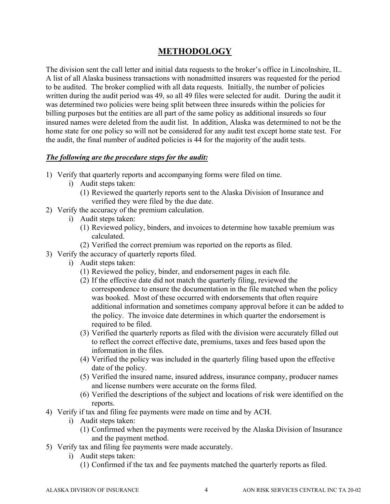# **METHODOLOGY**

The division sent the call letter and initial data requests to the broker's office in Lincolnshire, IL. A list of all Alaska business transactions with nonadmitted insurers was requested for the period to be audited. The broker complied with all data requests. Initially, the number of policies written during the audit period was 49, so all 49 files were selected for audit. During the audit it was determined two policies were being split between three insureds within the policies for billing purposes but the entities are all part of the same policy as additional insureds so four insured names were deleted from the audit list. In addition, Alaska was determined to not be the home state for one policy so will not be considered for any audit test except home state test. For the audit, the final number of audited policies is 44 for the majority of the audit tests.

### *The following are the procedure steps for the audit:*

- 1) Verify that quarterly reports and accompanying forms were filed on time.
	- i) Audit steps taken:
		- (1) Reviewed the quarterly reports sent to the Alaska Division of Insurance and verified they were filed by the due date.
- 2) Verify the accuracy of the premium calculation.
	- i) Audit steps taken:
		- (1) Reviewed policy, binders, and invoices to determine how taxable premium was calculated.
		- (2) Verified the correct premium was reported on the reports as filed.
- 3) Verify the accuracy of quarterly reports filed.
	- i) Audit steps taken:
		- (1) Reviewed the policy, binder, and endorsement pages in each file.
		- (2) If the effective date did not match the quarterly filing, reviewed the correspondence to ensure the documentation in the file matched when the policy was booked. Most of these occurred with endorsements that often require additional information and sometimes company approval before it can be added to the policy. The invoice date determines in which quarter the endorsement is required to be filed.
		- (3) Verified the quarterly reports as filed with the division were accurately filled out to reflect the correct effective date, premiums, taxes and fees based upon the information in the files.
		- (4) Verified the policy was included in the quarterly filing based upon the effective date of the policy.
		- (5) Verified the insured name, insured address, insurance company, producer names and license numbers were accurate on the forms filed.
		- (6) Verified the descriptions of the subject and locations of risk were identified on the reports.
- 4) Verify if tax and filing fee payments were made on time and by ACH.
	- i) Audit steps taken:
		- (1) Confirmed when the payments were received by the Alaska Division of Insurance and the payment method.
- 5) Verify tax and filing fee payments were made accurately.
	- i) Audit steps taken:
		- (1) Confirmed if the tax and fee payments matched the quarterly reports as filed.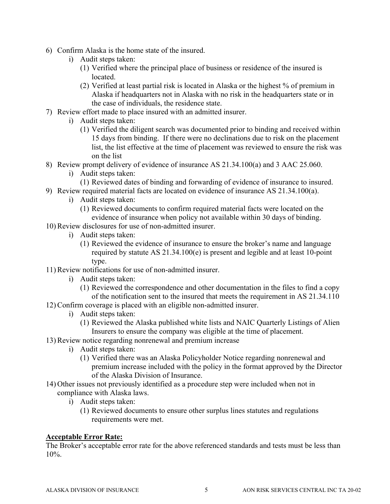- 6) Confirm Alaska is the home state of the insured.
	- i) Audit steps taken:
		- (1) Verified where the principal place of business or residence of the insured is located.
		- (2) Verified at least partial risk is located in Alaska or the highest % of premium in Alaska if headquarters not in Alaska with no risk in the headquarters state or in the case of individuals, the residence state.
- 7) Review effort made to place insured with an admitted insurer.
	- i) Audit steps taken:
		- (1) Verified the diligent search was documented prior to binding and received within 15 days from binding. If there were no declinations due to risk on the placement list, the list effective at the time of placement was reviewed to ensure the risk was on the list
- 8) Review prompt delivery of evidence of insurance AS 21.34.100(a) and 3 AAC 25.060.
	- i) Audit steps taken:
		- (1) Reviewed dates of binding and forwarding of evidence of insurance to insured.
- 9) Review required material facts are located on evidence of insurance AS 21.34.100(a).
	- i) Audit steps taken:
		- (1) Reviewed documents to confirm required material facts were located on the evidence of insurance when policy not available within 30 days of binding.
- 10) Review disclosures for use of non-admitted insurer.
	- i) Audit steps taken:
		- (1) Reviewed the evidence of insurance to ensure the broker's name and language required by statute AS 21.34.100(e) is present and legible and at least 10-point type.
- 11) Review notifications for use of non-admitted insurer.
	- i) Audit steps taken:
		- (1) Reviewed the correspondence and other documentation in the files to find a copy of the notification sent to the insured that meets the requirement in AS 21.34.110
- 12) Confirm coverage is placed with an eligible non-admitted insurer.
	- i) Audit steps taken:
		- (1) Reviewed the Alaska published white lists and NAIC Quarterly Listings of Alien Insurers to ensure the company was eligible at the time of placement.
- 13) Review notice regarding nonrenewal and premium increase
	- i) Audit steps taken:
		- (1) Verified there was an Alaska Policyholder Notice regarding nonrenewal and premium increase included with the policy in the format approved by the Director of the Alaska Division of Insurance.
- 14) Other issues not previously identified as a procedure step were included when not in compliance with Alaska laws.
	- i) Audit steps taken:
		- (1) Reviewed documents to ensure other surplus lines statutes and regulations requirements were met.

### **Acceptable Error Rate:**

The Broker's acceptable error rate for the above referenced standards and tests must be less than  $10\%$ .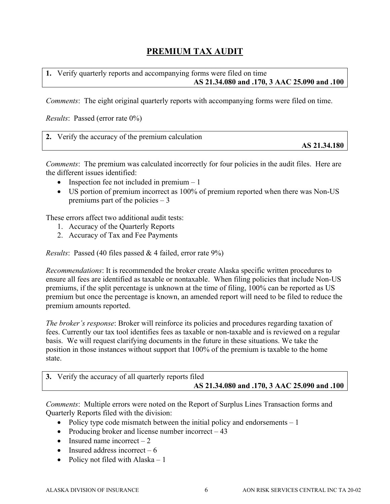# **PREMIUM TAX AUDIT**

**1.** Verify quarterly reports and accompanying forms were filed on time **AS 21.34.080 and .170, 3 AAC 25.090 and .100** 

*Comments*: The eight original quarterly reports with accompanying forms were filed on time.

*Results*: Passed (error rate 0%)

| 2. Verify the accuracy of the premium calculation |              |
|---------------------------------------------------|--------------|
|                                                   | AS 21.34.180 |

*Comments*: The premium was calculated incorrectly for four policies in the audit files. Here are the different issues identified:

- Inspection fee not included in premium  $-1$
- US portion of premium incorrect as 100% of premium reported when there was Non-US premiums part of the policies  $-3$

These errors affect two additional audit tests:

- 1. Accuracy of the Quarterly Reports
- 2. Accuracy of Tax and Fee Payments

*Results*: Passed (40 files passed & 4 failed, error rate 9%)

*Recommendations*: It is recommended the broker create Alaska specific written procedures to ensure all fees are identified as taxable or nontaxable. When filing policies that include Non-US premiums, if the split percentage is unknown at the time of filing, 100% can be reported as US premium but once the percentage is known, an amended report will need to be filed to reduce the premium amounts reported.

*The broker's response*: Broker will reinforce its policies and procedures regarding taxation of fees. Currently our tax tool identifies fees as taxable or non-taxable and is reviewed on a regular basis. We will request clarifying documents in the future in these situations. We take the position in those instances without support that 100% of the premium is taxable to the home state.

| 3. Verify the accuracy of all quarterly reports filed |
|-------------------------------------------------------|
| AS 21.34.080 and .170, 3 AAC 25.090 and .100          |

*Comments*: Multiple errors were noted on the Report of Surplus Lines Transaction forms and Quarterly Reports filed with the division:

- Policy type code mismatch between the initial policy and endorsements  $-1$
- Producing broker and license number incorrect  $-43$
- $\bullet$  Insured name incorrect 2
- Insured address incorrect  $-6$
- Policy not filed with Alaska  $-1$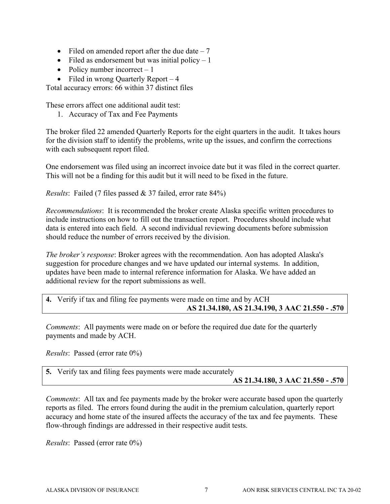- Filed on amended report after the due date  $-7$
- Filed as endorsement but was initial policy  $-1$
- Policy number incorrect  $-1$
- Filed in wrong Quarterly Report  $-4$

Total accuracy errors: 66 within 37 distinct files

These errors affect one additional audit test:

1. Accuracy of Tax and Fee Payments

The broker filed 22 amended Quarterly Reports for the eight quarters in the audit. It takes hours for the division staff to identify the problems, write up the issues, and confirm the corrections with each subsequent report filed.

One endorsement was filed using an incorrect invoice date but it was filed in the correct quarter. This will not be a finding for this audit but it will need to be fixed in the future.

*Results*: Failed (7 files passed & 37 failed, error rate 84%)

*Recommendations*: It is recommended the broker create Alaska specific written procedures to include instructions on how to fill out the transaction report. Procedures should include what data is entered into each field. A second individual reviewing documents before submission should reduce the number of errors received by the division.

*The broker's response*: Broker agrees with the recommendation. Aon has adopted Alaska's suggestion for procedure changes and we have updated our internal systems. In addition, updates have been made to internal reference information for Alaska. We have added an additional review for the report submissions as well.

## **4.** Verify if tax and filing fee payments were made on time and by ACH **AS 21.34.180, AS 21.34.190, 3 AAC 21.550 - .570**

*Comments*: All payments were made on or before the required due date for the quarterly payments and made by ACH.

*Results*: Passed (error rate 0%)

## **5.** Verify tax and filing fees payments were made accurately **AS 21.34.180, 3 AAC 21.550 - .570**

*Comments*: All tax and fee payments made by the broker were accurate based upon the quarterly reports as filed. The errors found during the audit in the premium calculation, quarterly report accuracy and home state of the insured affects the accuracy of the tax and fee payments. These flow-through findings are addressed in their respective audit tests.

*Results*: Passed (error rate 0%)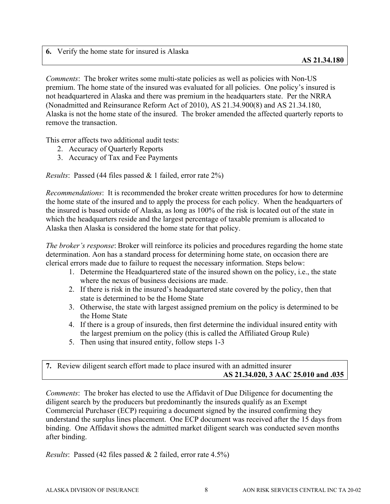**6.** Verify the home state for insured is Alaska

*Comments*: The broker writes some multi-state policies as well as policies with Non-US premium. The home state of the insured was evaluated for all policies. One policy's insured is not headquartered in Alaska and there was premium in the headquarters state. Per the NRRA (Nonadmitted and Reinsurance Reform Act of 2010), AS 21.34.900(8) and AS 21.34.180, Alaska is not the home state of the insured. The broker amended the affected quarterly reports to remove the transaction.

This error affects two additional audit tests:

- 2. Accuracy of Quarterly Reports
- 3. Accuracy of Tax and Fee Payments

*Results*: Passed (44 files passed & 1 failed, error rate 2%)

*Recommendations*: It is recommended the broker create written procedures for how to determine the home state of the insured and to apply the process for each policy. When the headquarters of the insured is based outside of Alaska, as long as 100% of the risk is located out of the state in which the headquarters reside and the largest percentage of taxable premium is allocated to Alaska then Alaska is considered the home state for that policy.

*The broker's response*: Broker will reinforce its policies and procedures regarding the home state determination. Aon has a standard process for determining home state, on occasion there are clerical errors made due to failure to request the necessary information. Steps below:

- 1. Determine the Headquartered state of the insured shown on the policy, i.e., the state where the nexus of business decisions are made.
- 2. If there is risk in the insured's headquartered state covered by the policy, then that state is determined to be the Home State
- 3. Otherwise, the state with largest assigned premium on the policy is determined to be the Home State
- 4. If there is a group of insureds, then first determine the individual insured entity with the largest premium on the policy (this is called the Affiliated Group Rule)
- 5. Then using that insured entity, follow steps 1-3

| 7. Review diligent search effort made to place insured with an admitted insurer |
|---------------------------------------------------------------------------------|
| AS 21.34.020, 3 AAC 25.010 and .035                                             |

*Comments*: The broker has elected to use the Affidavit of Due Diligence for documenting the diligent search by the producers but predominantly the insureds qualify as an Exempt Commercial Purchaser (ECP) requiring a document signed by the insured confirming they understand the surplus lines placement. One ECP document was received after the 15 days from binding. One Affidavit shows the admitted market diligent search was conducted seven months after binding.

*Results*: Passed (42 files passed & 2 failed, error rate 4.5%)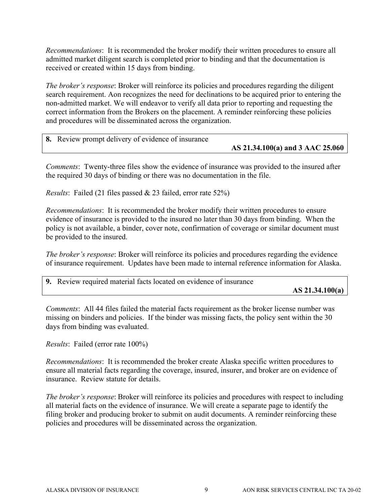*Recommendations*: It is recommended the broker modify their written procedures to ensure all admitted market diligent search is completed prior to binding and that the documentation is received or created within 15 days from binding.

*The broker's response*: Broker will reinforce its policies and procedures regarding the diligent search requirement. Aon recognizes the need for declinations to be acquired prior to entering the non-admitted market. We will endeavor to verify all data prior to reporting and requesting the correct information from the Brokers on the placement. A reminder reinforcing these policies and procedures will be disseminated across the organization.

| 8. Review prompt delivery of evidence of insurance |                                  |
|----------------------------------------------------|----------------------------------|
|                                                    | AS 21.34.100(a) and 3 AAC 25.060 |

*Comments*: Twenty-three files show the evidence of insurance was provided to the insured after the required 30 days of binding or there was no documentation in the file.

*Results*: Failed (21 files passed & 23 failed, error rate 52%)

*Recommendations*: It is recommended the broker modify their written procedures to ensure evidence of insurance is provided to the insured no later than 30 days from binding. When the policy is not available, a binder, cover note, confirmation of coverage or similar document must be provided to the insured.

*The broker's response*: Broker will reinforce its policies and procedures regarding the evidence of insurance requirement. Updates have been made to internal reference information for Alaska.

| 9. Review required material facts located on evidence of insurance |                   |
|--------------------------------------------------------------------|-------------------|
|                                                                    | AS $21.34.100(a)$ |

*Comments*: All 44 files failed the material facts requirement as the broker license number was missing on binders and policies. If the binder was missing facts, the policy sent within the 30 days from binding was evaluated.

*Results*: Failed (error rate 100%)

*Recommendations*: It is recommended the broker create Alaska specific written procedures to ensure all material facts regarding the coverage, insured, insurer, and broker are on evidence of insurance. Review statute for details.

*The broker's response*: Broker will reinforce its policies and procedures with respect to including all material facts on the evidence of insurance. We will create a separate page to identify the filing broker and producing broker to submit on audit documents. A reminder reinforcing these policies and procedures will be disseminated across the organization.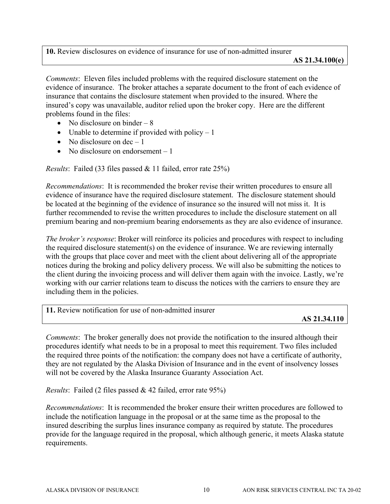**10.** Review disclosures on evidence of insurance for use of non-admitted insurer **AS 21.34.100(e)** 

*Comments*: Eleven files included problems with the required disclosure statement on the evidence of insurance. The broker attaches a separate document to the front of each evidence of insurance that contains the disclosure statement when provided to the insured. Where the insured's copy was unavailable, auditor relied upon the broker copy. Here are the different problems found in the files:

- No disclosure on binder  $-8$
- Unable to determine if provided with policy  $-1$
- No disclosure on  $dec 1$
- No disclosure on endorsement  $-1$

*Results*: Failed (33 files passed & 11 failed, error rate 25%)

*Recommendations*: It is recommended the broker revise their written procedures to ensure all evidence of insurance have the required disclosure statement. The disclosure statement should be located at the beginning of the evidence of insurance so the insured will not miss it. It is further recommended to revise the written procedures to include the disclosure statement on all premium bearing and non-premium bearing endorsements as they are also evidence of insurance.

*The broker's response*: Broker will reinforce its policies and procedures with respect to including the required disclosure statement(s) on the evidence of insurance. We are reviewing internally with the groups that place cover and meet with the client about delivering all of the appropriate notices during the broking and policy delivery process. We will also be submitting the notices to the client during the invoicing process and will deliver them again with the invoice. Lastly, we're working with our carrier relations team to discuss the notices with the carriers to ensure they are including them in the policies.

**11.** Review notification for use of non-admitted insurer

### **AS 21.34.110**

*Comments*: The broker generally does not provide the notification to the insured although their procedures identify what needs to be in a proposal to meet this requirement. Two files included the required three points of the notification: the company does not have a certificate of authority, they are not regulated by the Alaska Division of Insurance and in the event of insolvency losses will not be covered by the Alaska Insurance Guaranty Association Act.

*Results*: Failed (2 files passed & 42 failed, error rate 95%)

*Recommendations*: It is recommended the broker ensure their written procedures are followed to include the notification language in the proposal or at the same time as the proposal to the insured describing the surplus lines insurance company as required by statute. The procedures provide for the language required in the proposal, which although generic, it meets Alaska statute requirements.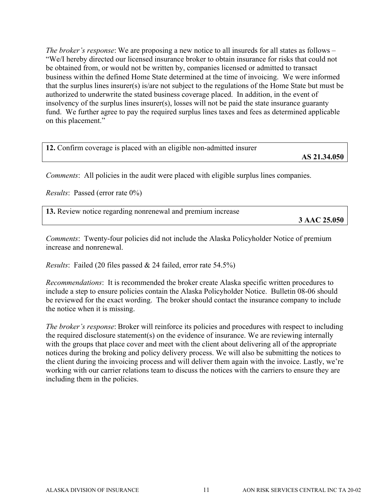*The broker's response*: We are proposing a new notice to all insureds for all states as follows – "We/I hereby directed our licensed insurance broker to obtain insurance for risks that could not be obtained from, or would not be written by, companies licensed or admitted to transact business within the defined Home State determined at the time of invoicing. We were informed that the surplus lines insurer(s) is/are not subject to the regulations of the Home State but must be authorized to underwrite the stated business coverage placed. In addition, in the event of insolvency of the surplus lines insurer(s), losses will not be paid the state insurance guaranty fund. We further agree to pay the required surplus lines taxes and fees as determined applicable on this placement."

| 12. Confirm coverage is placed with an eligible non-admitted insurer | AS 21.34.050 |
|----------------------------------------------------------------------|--------------|
|                                                                      |              |

*Comments*: All policies in the audit were placed with eligible surplus lines companies.

*Results*: Passed (error rate 0%)

**13.** Review notice regarding nonrenewal and premium increase

**3 AAC 25.050** 

*Comments*: Twenty-four policies did not include the Alaska Policyholder Notice of premium increase and nonrenewal.

*Results*: Failed (20 files passed & 24 failed, error rate 54.5%)

*Recommendations*: It is recommended the broker create Alaska specific written procedures to include a step to ensure policies contain the Alaska Policyholder Notice. Bulletin 08-06 should be reviewed for the exact wording. The broker should contact the insurance company to include the notice when it is missing.

*The broker's response*: Broker will reinforce its policies and procedures with respect to including the required disclosure statement(s) on the evidence of insurance. We are reviewing internally with the groups that place cover and meet with the client about delivering all of the appropriate notices during the broking and policy delivery process. We will also be submitting the notices to the client during the invoicing process and will deliver them again with the invoice. Lastly, we're working with our carrier relations team to discuss the notices with the carriers to ensure they are including them in the policies.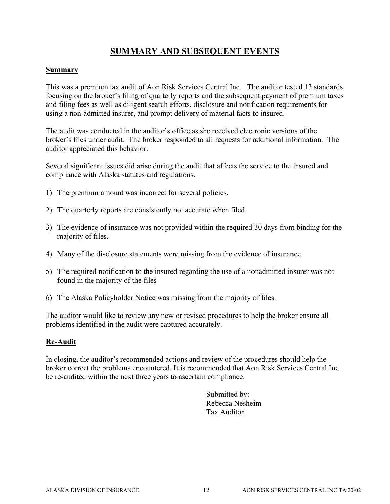# **SUMMARY AND SUBSEQUENT EVENTS**

### **Summary**

This was a premium tax audit of Aon Risk Services Central Inc. The auditor tested 13 standards focusing on the broker's filing of quarterly reports and the subsequent payment of premium taxes and filing fees as well as diligent search efforts, disclosure and notification requirements for using a non-admitted insurer, and prompt delivery of material facts to insured.

The audit was conducted in the auditor's office as she received electronic versions of the broker's files under audit. The broker responded to all requests for additional information. The auditor appreciated this behavior.

Several significant issues did arise during the audit that affects the service to the insured and compliance with Alaska statutes and regulations.

- 1) The premium amount was incorrect for several policies.
- 2) The quarterly reports are consistently not accurate when filed.
- 3) The evidence of insurance was not provided within the required 30 days from binding for the majority of files.
- 4) Many of the disclosure statements were missing from the evidence of insurance.
- 5) The required notification to the insured regarding the use of a nonadmitted insurer was not found in the majority of the files
- 6) The Alaska Policyholder Notice was missing from the majority of files.

The auditor would like to review any new or revised procedures to help the broker ensure all problems identified in the audit were captured accurately.

## **Re-Audit**

In closing, the auditor's recommended actions and review of the procedures should help the broker correct the problems encountered. It is recommended that Aon Risk Services Central Inc be re-audited within the next three years to ascertain compliance.

> Submitted by: Rebecca Nesheim Tax Auditor